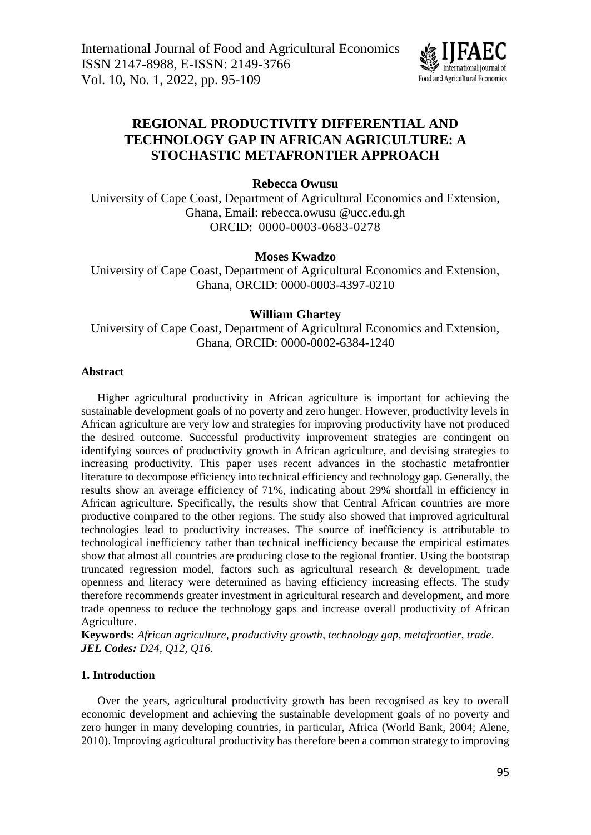

# **REGIONAL PRODUCTIVITY DIFFERENTIAL AND TECHNOLOGY GAP IN AFRICAN AGRICULTURE: A STOCHASTIC METAFRONTIER APPROACH**

**Rebecca Owusu**

University of Cape Coast, Department of Agricultural Economics and Extension, Ghana, Email: [rebecca.owusu.@ucc.edu.gh](mailto:rebecca.owusu.@ucc.edu.gh) ORCID: 0000-0003-0683-0278

# **Moses Kwadzo**

University of Cape Coast, Department of Agricultural Economics and Extension, Ghana, ORCID: [0000-0003-4397-0210](https://orcid.org/0000-0003-4397-0210)

# **William Ghartey**

University of Cape Coast, Department of Agricultural Economics and Extension, Ghana, ORCID: [0000-0002-6384-1240](https://orcid.org/0000-0002-6384-1240)

# **Abstract**

Higher agricultural productivity in African agriculture is important for achieving the sustainable development goals of no poverty and zero hunger. However, productivity levels in African agriculture are very low and strategies for improving productivity have not produced the desired outcome. Successful productivity improvement strategies are contingent on identifying sources of productivity growth in African agriculture, and devising strategies to increasing productivity. This paper uses recent advances in the stochastic metafrontier literature to decompose efficiency into technical efficiency and technology gap. Generally, the results show an average efficiency of 71%, indicating about 29% shortfall in efficiency in African agriculture. Specifically, the results show that Central African countries are more productive compared to the other regions. The study also showed that improved agricultural technologies lead to productivity increases. The source of inefficiency is attributable to technological inefficiency rather than technical inefficiency because the empirical estimates show that almost all countries are producing close to the regional frontier. Using the bootstrap truncated regression model, factors such as agricultural research & development, trade openness and literacy were determined as having efficiency increasing effects. The study therefore recommends greater investment in agricultural research and development, and more trade openness to reduce the technology gaps and increase overall productivity of African Agriculture.

**Keywords:** *African agriculture, productivity growth, technology gap, metafrontier, trade. JEL Codes: D24, Q12, Q16.*

# **1. Introduction**

Over the years, agricultural productivity growth has been recognised as key to overall economic development and achieving the sustainable development goals of no poverty and zero hunger in many developing countries, in particular, Africa (World Bank, 2004; Alene, 2010). Improving agricultural productivity has therefore been a common strategy to improving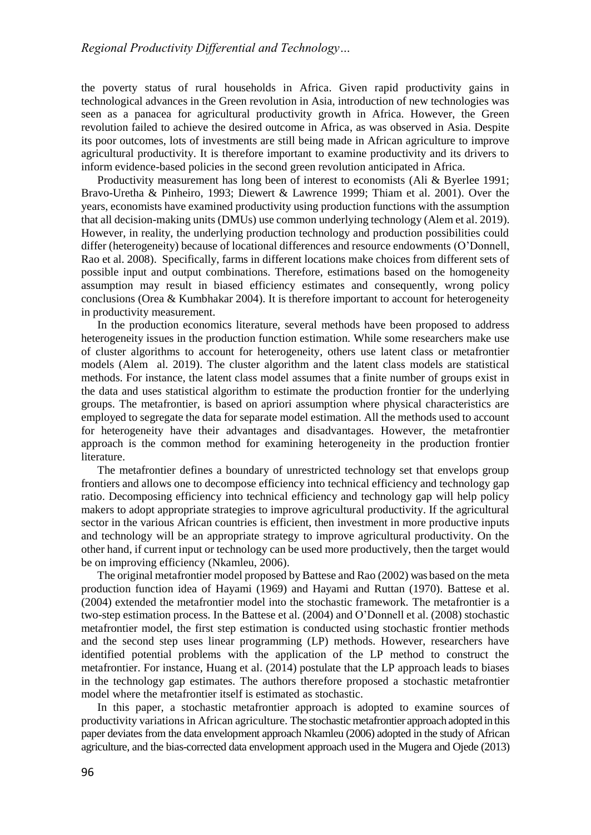the poverty status of rural households in Africa. Given rapid productivity gains in technological advances in the Green revolution in Asia, introduction of new technologies was seen as a panacea for agricultural productivity growth in Africa. However, the Green revolution failed to achieve the desired outcome in Africa, as was observed in Asia. Despite its poor outcomes, lots of investments are still being made in African agriculture to improve agricultural productivity. It is therefore important to examine productivity and its drivers to inform evidence-based policies in the second green revolution anticipated in Africa.

Productivity measurement has long been of interest to economists (Ali & Byerlee 1991; Bravo-Uretha & Pinheiro, 1993; Diewert & Lawrence 1999; Thiam et al. 2001). Over the years, economists have examined productivity using production functions with the assumption that all decision-making units (DMUs) use common underlying technology (Alem et al. 2019). However, in reality, the underlying production technology and production possibilities could differ (heterogeneity) because of locational differences and resource endowments (O'Donnell, Rao et al. 2008). Specifically, farms in different locations make choices from different sets of possible input and output combinations. Therefore, estimations based on the homogeneity assumption may result in biased efficiency estimates and consequently, wrong policy conclusions (Orea & Kumbhakar 2004). It is therefore important to account for heterogeneity in productivity measurement.

In the production economics literature, several methods have been proposed to address heterogeneity issues in the production function estimation. While some researchers make use of cluster algorithms to account for heterogeneity, others use latent class or metafrontier models (Alem al. 2019). The cluster algorithm and the latent class models are statistical methods. For instance, the latent class model assumes that a finite number of groups exist in the data and uses statistical algorithm to estimate the production frontier for the underlying groups. The metafrontier, is based on apriori assumption where physical characteristics are employed to segregate the data for separate model estimation. All the methods used to account for heterogeneity have their advantages and disadvantages. However, the metafrontier approach is the common method for examining heterogeneity in the production frontier literature.

The metafrontier defines a boundary of unrestricted technology set that envelops group frontiers and allows one to decompose efficiency into technical efficiency and technology gap ratio. Decomposing efficiency into technical efficiency and technology gap will help policy makers to adopt appropriate strategies to improve agricultural productivity. If the agricultural sector in the various African countries is efficient, then investment in more productive inputs and technology will be an appropriate strategy to improve agricultural productivity. On the other hand, if current input or technology can be used more productively, then the target would be on improving efficiency (Nkamleu, 2006).

The original metafrontier model proposed by Battese and Rao (2002) was based on the meta production function idea of Hayami (1969) and Hayami and Ruttan (1970). Battese et al. (2004) extended the metafrontier model into the stochastic framework. The metafrontier is a two-step estimation process. In the Battese et al. (2004) and O'Donnell et al. (2008) stochastic metafrontier model, the first step estimation is conducted using stochastic frontier methods and the second step uses linear programming (LP) methods. However, researchers have identified potential problems with the application of the LP method to construct the metafrontier. For instance, Huang et al. (2014) postulate that the LP approach leads to biases in the technology gap estimates. The authors therefore proposed a stochastic metafrontier model where the metafrontier itself is estimated as stochastic.

In this paper, a stochastic metafrontier approach is adopted to examine sources of productivity variations in African agriculture. The stochastic metafrontier approach adopted in this paper deviates from the data envelopment approach Nkamleu (2006) adopted in the study of African agriculture, and the bias-corrected data envelopment approach used in the Mugera and Ojede (2013)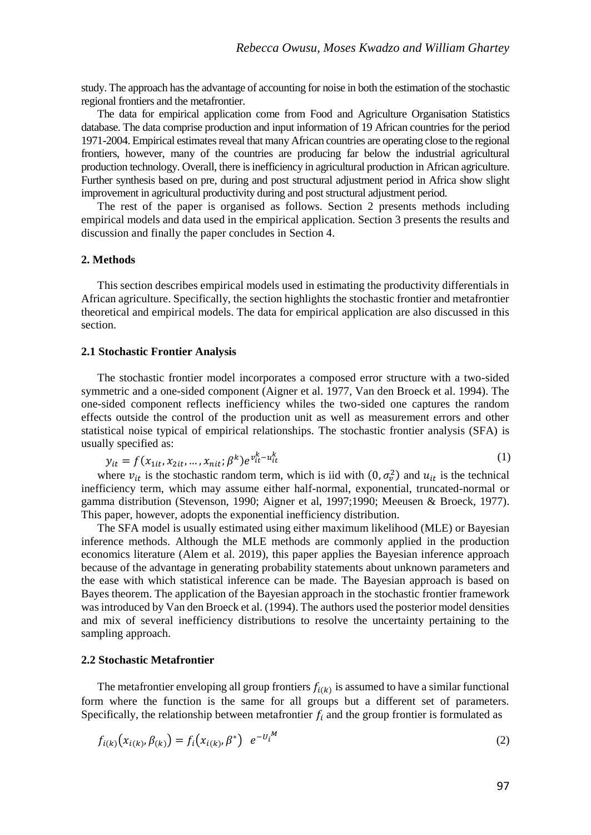study. The approach has the advantage of accounting for noise in both the estimation of the stochastic regional frontiers and the metafrontier.

The data for empirical application come from Food and Agriculture Organisation Statistics database. The data comprise production and input information of 19 African countries for the period 1971-2004. Empirical estimates reveal that many African countries are operating close to the regional frontiers, however, many of the countries are producing far below the industrial agricultural production technology. Overall, there is inefficiency in agricultural production in African agriculture. Further synthesis based on pre, during and post structural adjustment period in Africa show slight improvement in agricultural productivity during and post structural adjustment period.

The rest of the paper is organised as follows. Section 2 presents methods including empirical models and data used in the empirical application. Section 3 presents the results and discussion and finally the paper concludes in Section 4.

### **2. Methods**

This section describes empirical models used in estimating the productivity differentials in African agriculture. Specifically, the section highlights the stochastic frontier and metafrontier theoretical and empirical models. The data for empirical application are also discussed in this section.

#### **2.1 Stochastic Frontier Analysis**

The stochastic frontier model incorporates a composed error structure with a two-sided symmetric and a one-sided component (Aigner et al. 1977, Van den Broeck et al. 1994). The one-sided component reflects inefficiency whiles the two-sided one captures the random effects outside the control of the production unit as well as measurement errors and other statistical noise typical of empirical relationships. The stochastic frontier analysis (SFA) is usually specified as:

$$
y_{it} = f(x_{1it}, x_{2it}, ..., x_{nit}; \beta^k) e^{v_{it}^k - u_{it}^k}
$$
 (1)

where  $v_{it}$  is the stochastic random term, which is iid with  $(0, \sigma_v^2)$  and  $u_{it}$  is the technical inefficiency term, which may assume either half-normal, exponential, truncated-normal or gamma distribution (Stevenson, 1990; Aigner et al, 1997;1990; Meeusen & Broeck, 1977). This paper, however, adopts the exponential inefficiency distribution.

The SFA model is usually estimated using either maximum likelihood (MLE) or Bayesian inference methods. Although the MLE methods are commonly applied in the production economics literature (Alem et al. 2019), this paper applies the Bayesian inference approach because of the advantage in generating probability statements about unknown parameters and the ease with which statistical inference can be made. The Bayesian approach is based on Bayes theorem. The application of the Bayesian approach in the stochastic frontier framework was introduced by Van den Broeck et al. (1994). The authors used the posterior model densities and mix of several inefficiency distributions to resolve the uncertainty pertaining to the sampling approach.

## **2.2 Stochastic Metafrontier**

The metafrontier enveloping all group frontiers  $f_{i(k)}$  is assumed to have a similar functional form where the function is the same for all groups but a different set of parameters. Specifically, the relationship between metafrontier  $f_i$  and the group frontier is formulated as

$$
f_{i(k)}(x_{i(k)}, \beta_{(k)}) = f_i(x_{i(k)}, \beta^*) \quad e^{-U_i^M} \tag{2}
$$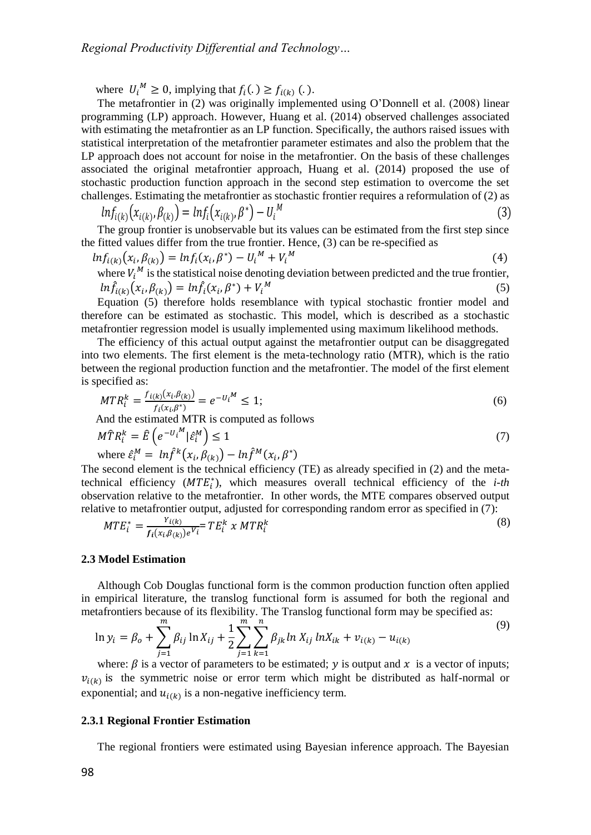where  $U_i^M \geq 0$ , implying that  $f_i(.) \geq f_{i(k)}(.)$ .

The metafrontier in (2) was originally implemented using O'Donnell et al. (2008) linear programming (LP) approach. However, Huang et al. (2014) observed challenges associated with estimating the metafrontier as an LP function. Specifically, the authors raised issues with statistical interpretation of the metafrontier parameter estimates and also the problem that the LP approach does not account for noise in the metafrontier. On the basis of these challenges associated the original metafrontier approach, Huang et al. (2014) proposed the use of stochastic production function approach in the second step estimation to overcome the set challenges. Estimating the metafrontier as stochastic frontier requires a reformulation of (2) as

$$
ln f_{i(k)}(x_{i(k)}, \beta_{(k)}) = ln f_i(x_{i(k)}, \beta^*) - U_i^M
$$
\n(3)

The group frontier is unobservable but its values can be estimated from the first step since the fitted values differ from the true frontier. Hence, (3) can be re-specified as

$$
ln f_{i(k)}(x_i, \beta_{(k)}) = ln f_i(x_i, \beta^*) - U_i^M + V_i^M
$$
\n(4)

where 
$$
V_i^M
$$
 is the statistical noise denoting deviation between predicted and the true frontier,  
 $ln \hat{f}_{i(k)}(x_i, \beta_{(k)}) = ln \hat{f}_i(x_i, \beta^*) + V_i^M$  (5)

Equation (5) therefore holds resemblance with typical stochastic frontier model and therefore can be estimated as stochastic. This model, which is described as a stochastic metafrontier regression model is usually implemented using maximum likelihood methods.

The efficiency of this actual output against the metafrontier output can be disaggregated into two elements. The first element is the meta-technology ratio (MTR), which is the ratio between the regional production function and the metafrontier. The model of the first element is specified as:

$$
MTR_i^k = \frac{f_{i(k)}(x_i, \beta_{(k)})}{f_i(x_i, \beta^*)} = e^{-U_i^M} \le 1;
$$
\n(6)

And the estimated MTR is computed as follows

$$
M\widehat{T}R_i^k = \widehat{E}\left(e^{-U_i^M}|\widehat{\varepsilon}_i^M\right) \le 1\tag{7}
$$

where 
$$
\hat{\varepsilon}_i^M = ln \hat{f}^k(x_i, \beta_{(k)}) - ln \hat{f}^M(x_i, \beta^*)
$$

The second element is the technical efficiency (TE) as already specified in (2) and the metatechnical efficiency  $(MTE_i^*)$ , which measures overall technical efficiency of the *i-th* observation relative to the metafrontier. In other words, the MTE compares observed output relative to metafrontier output, adjusted for corresponding random error as specified in (7):

$$
MTE_i^* = \frac{Y_{i(k)}}{f_i(x_i, \beta_{(k)})e^{V_i}} = TE_i^k \times MTR_i^k
$$
\n
$$
(8)
$$

#### **2.3 Model Estimation**

Although Cob Douglas functional form is the common production function often applied in empirical literature, the translog functional form is assumed for both the regional and metafrontiers because of its flexibility. The Translog functional form may be specified as:

$$
\ln y_i = \beta_o + \sum_{j=1}^m \beta_{ij} \ln X_{ij} + \frac{1}{2} \sum_{j=1}^m \sum_{k=1}^n \beta_{jk} \ln X_{ij} \ln X_{ik} + v_{i(k)} - u_{i(k)}
$$
\n(9)

where:  $\beta$  is a vector of parameters to be estimated; y is output and x is a vector of inputs;  $v_{i(k)}$  is the symmetric noise or error term which might be distributed as half-normal or exponential; and  $u_{i(k)}$  is a non-negative inefficiency term.

### **2.3.1 Regional Frontier Estimation**

The regional frontiers were estimated using Bayesian inference approach. The Bayesian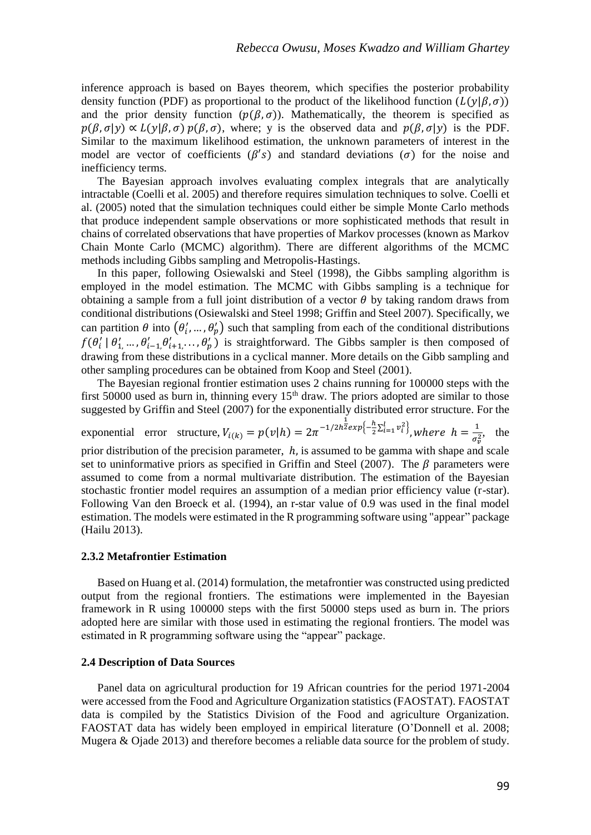inference approach is based on Bayes theorem, which specifies the posterior probability density function (PDF) as proportional to the product of the likelihood function  $(L(v|\beta, \sigma))$ and the prior density function  $(p(\beta, \sigma))$ . Mathematically, the theorem is specified as  $p(\beta, \sigma|y) \propto L(y|\beta, \sigma) p(\beta, \sigma)$ , where; y is the observed data and  $p(\beta, \sigma|y)$  is the PDF. Similar to the maximum likelihood estimation, the unknown parameters of interest in the model are vector of coefficients ( $\beta'$ s) and standard deviations ( $\sigma$ ) for the noise and inefficiency terms.

The Bayesian approach involves evaluating complex integrals that are analytically intractable (Coelli et al. 2005) and therefore requires simulation techniques to solve. Coelli et al. (2005) noted that the simulation techniques could either be simple Monte Carlo methods that produce independent sample observations or more sophisticated methods that result in chains of correlated observations that have properties of Markov processes (known as Markov Chain Monte Carlo (MCMC) algorithm). There are different algorithms of the MCMC methods including Gibbs sampling and Metropolis-Hastings.

In this paper, following Osiewalski and Steel (1998), the Gibbs sampling algorithm is employed in the model estimation. The MCMC with Gibbs sampling is a technique for obtaining a sample from a full joint distribution of a vector  $\theta$  by taking random draws from conditional distributions (Osiewalski and Steel 1998; [Griffin and Steel 2007\)](#page-14-0). Specifically, we can partition  $\theta$  into  $(\theta'_i, ..., \theta'_p)$  such that sampling from each of the conditional distributions  $f(\theta'_i \mid \theta'_1, \dots, \theta'_{i-1}, \theta'_{i+1}, \dots, \theta'_p)$  is straightforward. The Gibbs sampler is then composed of drawing from these distributions in a cyclical manner. More details on the Gibb sampling and other sampling procedures can be obtained from Koop and Steel (2001).

The Bayesian regional frontier estimation uses 2 chains running for 100000 steps with the first 50000 used as burn in, thinning every  $15<sup>th</sup>$  draw. The priors adopted are similar to those suggested by Griffin and Steel (2007) for the exponentially distributed error structure. For the

exponential error structure,  $V_{i(k)} = p(v|h) = 2\pi^{-1/2h^2} \exp\left(-\frac{h}{2}\Sigma_{i=1}^l v_i^2\right)$ , where  $h = \frac{1}{\pi^2}$  $\frac{1}{\sigma_v^2}$ , the prior distribution of the precision parameter,  $h$ , is assumed to be gamma with shape and scale set to uninformative priors as specified in Griffin and Steel (2007). The  $\beta$  parameters were assumed to come from a normal multivariate distribution. The estimation of the Bayesian stochastic frontier model requires an assumption of a median prior efficiency value (r-star). Following Van den Broeck et al. (1994), an r-star value of 0.9 was used in the final model estimation. The models were estimated in the R programming software using "appear" package (Hailu 2013).

#### **2.3.2 Metafrontier Estimation**

Based on Huang et al. (2014) formulation, the metafrontier was constructed using predicted output from the regional frontiers. The estimations were implemented in the Bayesian framework in R using 100000 steps with the first 50000 steps used as burn in. The priors adopted here are similar with those used in estimating the regional frontiers. The model was estimated in R programming software using the "appear" package.

#### **2.4 Description of Data Sources**

Panel data on agricultural production for 19 African countries for the period 1971-2004 were accessed from the Food and Agriculture Organization statistics (FAOSTAT). FAOSTAT data is compiled by the Statistics Division of the Food and agriculture Organization. FAOSTAT data has widely been employed in empirical literature (O'Donnell et al. 2008; Mugera & Ojade 2013) and therefore becomes a reliable data source for the problem of study.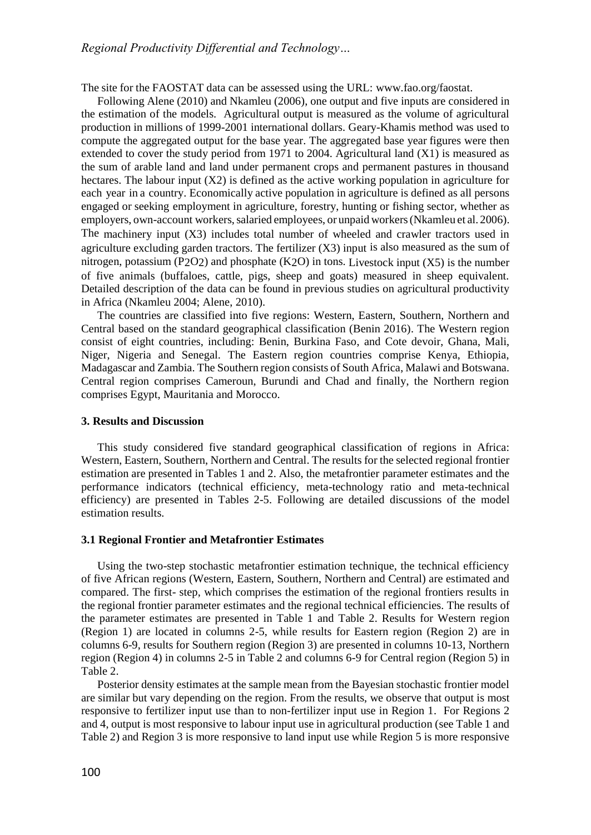The site for the FAOSTAT data can be assessed using the URL: [www.fao.org/faostat.](http://www.fao.org/faostat)

Following Alene (2010) and Nkamleu (2006), one output and five inputs are considered in the estimation of the models. Agricultural output is measured as the volume of agricultural production in millions of 1999-2001 international dollars. Geary-Khamis method was used to compute the aggregated output for the base year. The aggregated base year figures were then extended to cover the study period from 1971 to 2004. Agricultural land (X1) is measured as the sum of arable land and land under permanent crops and permanent pastures in thousand hectares. The labour input (X2) is defined as the active working population in agriculture for each year in a country. Economically active population in agriculture is defined as all persons engaged or seeking employment in agriculture, forestry, hunting or fishing sector, whether as employers, own-account workers, salaried employees, or unpaid workers (Nkamleu et al. 2006). The machinery input (X3) includes total number of wheeled and crawler tractors used in agriculture excluding garden tractors. The fertilizer  $(X3)$  input is also measured as the sum of nitrogen, potassium (P2O2) and phosphate (K2O) in tons. Livestock input  $(X5)$  is the number of five animals (buffaloes, cattle, pigs, sheep and goats) measured in sheep equivalent. Detailed description of the data can be found in previous studies on agricultural productivity in Africa (Nkamleu 2004; Alene, 2010).

The countries are classified into five regions: Western, Eastern, Southern, Northern and Central based on the standard geographical classification (Benin 2016). The Western region consist of eight countries, including: Benin, Burkina Faso, and Cote devoir, Ghana, Mali, Niger, Nigeria and Senegal. The Eastern region countries comprise Kenya, Ethiopia, Madagascar and Zambia. The Southern region consists of South Africa, Malawi and Botswana. Central region comprises Cameroun, Burundi and Chad and finally, the Northern region comprises Egypt, Mauritania and Morocco.

### **3. Results and Discussion**

This study considered five standard geographical classification of regions in Africa: Western, Eastern, Southern, Northern and Central. The results for the selected regional frontier estimation are presented in Tables 1 and 2. Also, the metafrontier parameter estimates and the performance indicators (technical efficiency, meta-technology ratio and meta-technical efficiency) are presented in Tables 2-5. Following are detailed discussions of the model estimation results.

#### **3.1 Regional Frontier and Metafrontier Estimates**

Using the two-step stochastic metafrontier estimation technique, the technical efficiency of five African regions (Western, Eastern, Southern, Northern and Central) are estimated and compared. The first- step, which comprises the estimation of the regional frontiers results in the regional frontier parameter estimates and the regional technical efficiencies. The results of the parameter estimates are presented in Table 1 and Table 2. Results for Western region (Region 1) are located in columns 2-5, while results for Eastern region (Region 2) are in columns 6-9, results for Southern region (Region 3) are presented in columns 10-13, Northern region (Region 4) in columns 2-5 in Table 2 and columns 6-9 for Central region (Region 5) in Table 2.

Posterior density estimates at the sample mean from the Bayesian stochastic frontier model are similar but vary depending on the region. From the results, we observe that output is most responsive to fertilizer input use than to non-fertilizer input use in Region 1. For Regions 2 and 4, output is most responsive to labour input use in agricultural production (see Table 1 and Table 2) and Region 3 is more responsive to land input use while Region 5 is more responsive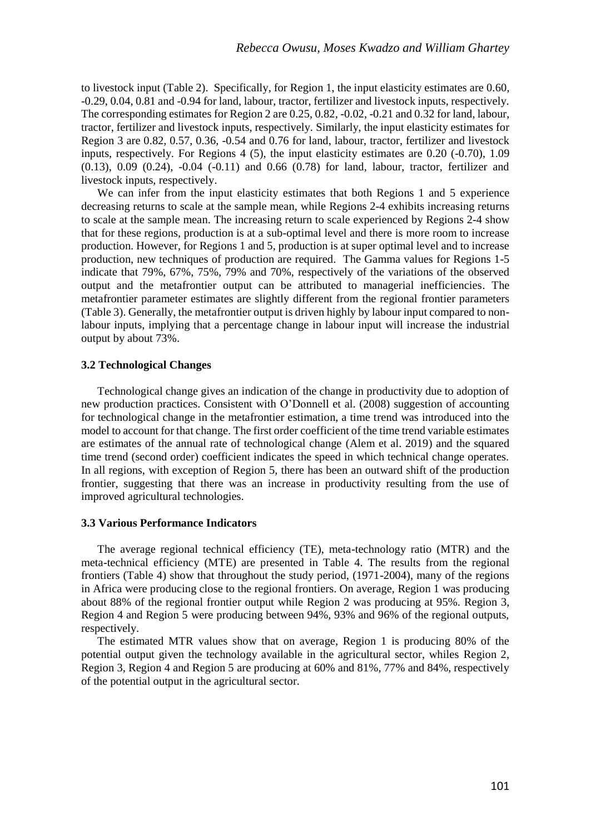to livestock input (Table 2). Specifically, for Region 1, the input elasticity estimates are 0.60, -0.29, 0.04, 0.81 and -0.94 for land, labour, tractor, fertilizer and livestock inputs, respectively. The corresponding estimates for Region 2 are 0.25, 0.82, -0.02, -0.21 and 0.32 for land, labour, tractor, fertilizer and livestock inputs, respectively. Similarly, the input elasticity estimates for Region 3 are 0.82, 0.57, 0.36, -0.54 and 0.76 for land, labour, tractor, fertilizer and livestock inputs, respectively. For Regions 4 (5), the input elasticity estimates are 0.20 (-0.70), 1.09  $(0.13)$ ,  $0.09$   $(0.24)$ ,  $-0.04$   $(-0.11)$  and  $0.66$   $(0.78)$  for land, labour, tractor, fertilizer and livestock inputs, respectively.

We can infer from the input elasticity estimates that both Regions 1 and 5 experience decreasing returns to scale at the sample mean, while Regions 2-4 exhibits increasing returns to scale at the sample mean. The increasing return to scale experienced by Regions 2-4 show that for these regions, production is at a sub-optimal level and there is more room to increase production. However, for Regions 1 and 5, production is at super optimal level and to increase production, new techniques of production are required. The Gamma values for Regions 1-5 indicate that 79%, 67%, 75%, 79% and 70%, respectively of the variations of the observed output and the metafrontier output can be attributed to managerial inefficiencies. The metafrontier parameter estimates are slightly different from the regional frontier parameters (Table 3). Generally, the metafrontier output is driven highly by labour input compared to nonlabour inputs, implying that a percentage change in labour input will increase the industrial output by about 73%.

### **3.2 Technological Changes**

Technological change gives an indication of the change in productivity due to adoption of new production practices. Consistent with O'Donnell et al. (2008) suggestion of accounting for technological change in the metafrontier estimation, a time trend was introduced into the model to account for that change. The first order coefficient of the time trend variable estimates are estimates of the annual rate of technological change (Alem et al. 2019) and the squared time trend (second order) coefficient indicates the speed in which technical change operates. In all regions, with exception of Region 5, there has been an outward shift of the production frontier, suggesting that there was an increase in productivity resulting from the use of improved agricultural technologies.

### **3.3 Various Performance Indicators**

The average regional technical efficiency (TE), meta-technology ratio (MTR) and the meta-technical efficiency (MTE) are presented in Table 4. The results from the regional frontiers (Table 4) show that throughout the study period, (1971-2004), many of the regions in Africa were producing close to the regional frontiers. On average, Region 1 was producing about 88% of the regional frontier output while Region 2 was producing at 95%. Region 3, Region 4 and Region 5 were producing between 94%, 93% and 96% of the regional outputs, respectively.

The estimated MTR values show that on average, Region 1 is producing 80% of the potential output given the technology available in the agricultural sector, whiles Region 2, Region 3, Region 4 and Region 5 are producing at 60% and 81%, 77% and 84%, respectively of the potential output in the agricultural sector.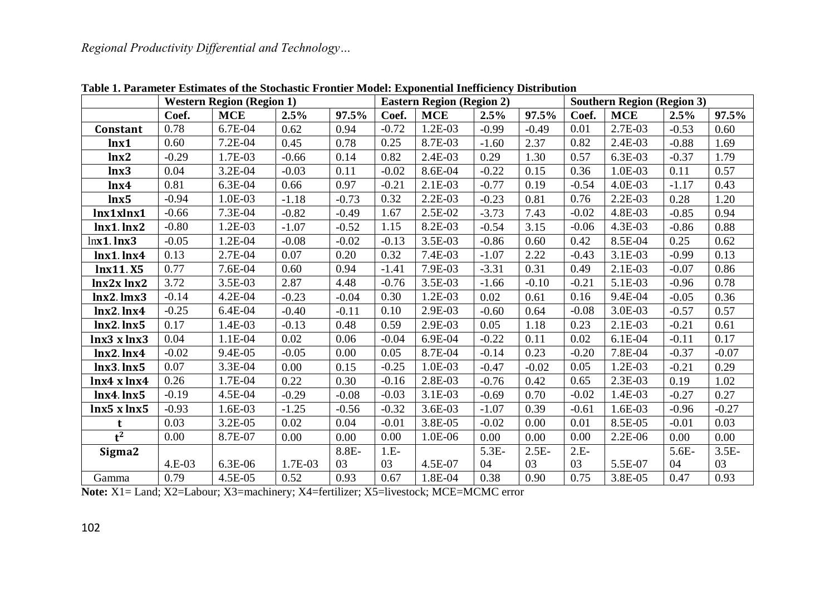|                 | <b>Western Region (Region 1)</b> |             |         |         | <b>Eastern Region (Region 2)</b> |            |         |         | <b>Southern Region (Region 3)</b> |            |         |         |
|-----------------|----------------------------------|-------------|---------|---------|----------------------------------|------------|---------|---------|-----------------------------------|------------|---------|---------|
|                 | Coef.                            | <b>MCE</b>  | 2.5%    | 97.5%   | Coef.                            | <b>MCE</b> | 2.5%    | 97.5%   | Coef.                             | <b>MCE</b> | 2.5%    | 97.5%   |
| Constant        | 0.78                             | 6.7E-04     | 0.62    | 0.94    | $-0.72$                          | 1.2E-03    | $-0.99$ | $-0.49$ | 0.01                              | 2.7E-03    | $-0.53$ | 0.60    |
| lnx1            | 0.60                             | 7.2E-04     | 0.45    | 0.78    | 0.25                             | 8.7E-03    | $-1.60$ | 2.37    | 0.82                              | 2.4E-03    | $-0.88$ | 1.69    |
| lnx2            | $-0.29$                          | 1.7E-03     | $-0.66$ | 0.14    | 0.82                             | 2.4E-03    | 0.29    | 1.30    | 0.57                              | 6.3E-03    | $-0.37$ | 1.79    |
| lnx3            | 0.04                             | $3.2E - 04$ | $-0.03$ | 0.11    | $-0.02$                          | 8.6E-04    | $-0.22$ | 0.15    | 0.36                              | 1.0E-03    | 0.11    | 0.57    |
| lnx4            | 0.81                             | 6.3E-04     | 0.66    | 0.97    | $-0.21$                          | 2.1E-03    | $-0.77$ | 0.19    | $-0.54$                           | 4.0E-03    | $-1.17$ | 0.43    |
| lnx5            | $-0.94$                          | 1.0E-03     | $-1.18$ | $-0.73$ | 0.32                             | 2.2E-03    | $-0.23$ | 0.81    | 0.76                              | 2.2E-03    | 0.28    | 1.20    |
| lnx1xlnx1       | $-0.66$                          | 7.3E-04     | $-0.82$ | $-0.49$ | 1.67                             | 2.5E-02    | $-3.73$ | 7.43    | $-0.02$                           | 4.8E-03    | $-0.85$ | 0.94    |
| $lnx1$ . $lnx2$ | $-0.80$                          | 1.2E-03     | $-1.07$ | $-0.52$ | 1.15                             | 8.2E-03    | $-0.54$ | 3.15    | $-0.06$                           | 4.3E-03    | $-0.86$ | 0.88    |
| $lnx1.$ $lnx3$  | $-0.05$                          | 1.2E-04     | $-0.08$ | $-0.02$ | $-0.13$                          | 3.5E-03    | $-0.86$ | 0.60    | 0.42                              | 8.5E-04    | 0.25    | 0.62    |
| $lnx1$ . $lnx4$ | 0.13                             | 2.7E-04     | 0.07    | 0.20    | 0.32                             | 7.4E-03    | $-1.07$ | 2.22    | $-0.43$                           | 3.1E-03    | $-0.99$ | 0.13    |
| lnx11.X5        | 0.77                             | 7.6E-04     | 0.60    | 0.94    | $-1.41$                          | 7.9E-03    | $-3.31$ | 0.31    | 0.49                              | 2.1E-03    | $-0.07$ | 0.86    |
| $lnx2x$ $lnx2$  | 3.72                             | 3.5E-03     | 2.87    | 4.48    | $-0.76$                          | 3.5E-03    | $-1.66$ | $-0.10$ | $-0.21$                           | 5.1E-03    | $-0.96$ | 0.78    |
| $lnx2.$ $lmx3$  | $-0.14$                          | 4.2E-04     | $-0.23$ | $-0.04$ | 0.30                             | $1.2E-03$  | 0.02    | 0.61    | 0.16                              | 9.4E-04    | $-0.05$ | 0.36    |
| $lnx2.$ $lnx4$  | $-0.25$                          | 6.4E-04     | $-0.40$ | $-0.11$ | 0.10                             | 2.9E-03    | $-0.60$ | 0.64    | $-0.08$                           | 3.0E-03    | $-0.57$ | 0.57    |
| $lnx2.$ $lnx5$  | 0.17                             | 1.4E-03     | $-0.13$ | 0.48    | 0.59                             | 2.9E-03    | 0.05    | 1.18    | 0.23                              | 2.1E-03    | $-0.21$ | 0.61    |
| lnx3 x lnx3     | 0.04                             | 1.1E-04     | 0.02    | 0.06    | $-0.04$                          | 6.9E-04    | $-0.22$ | 0.11    | 0.02                              | $6.1E-04$  | $-0.11$ | 0.17    |
| $lnx2.$ $lnx4$  | $-0.02$                          | 9.4E-05     | $-0.05$ | 0.00    | 0.05                             | 8.7E-04    | $-0.14$ | 0.23    | $-0.20$                           | 7.8E-04    | $-0.37$ | $-0.07$ |
| $lnx3.$ $lnx5$  | 0.07                             | 3.3E-04     | 0.00    | 0.15    | $-0.25$                          | 1.0E-03    | $-0.47$ | $-0.02$ | 0.05                              | 1.2E-03    | $-0.21$ | 0.29    |
| lnx4 x lnx4     | 0.26                             | 1.7E-04     | 0.22    | 0.30    | $-0.16$                          | 2.8E-03    | $-0.76$ | 0.42    | 0.65                              | 2.3E-03    | 0.19    | 1.02    |
| lnx4. lnx5      | $-0.19$                          | 4.5E-04     | $-0.29$ | $-0.08$ | $-0.03$                          | 3.1E-03    | $-0.69$ | 0.70    | $-0.02$                           | 1.4E-03    | $-0.27$ | 0.27    |
| lnx5 x lnx5     | $-0.93$                          | 1.6E-03     | $-1.25$ | $-0.56$ | $-0.32$                          | 3.6E-03    | $-1.07$ | 0.39    | $-0.61$                           | 1.6E-03    | $-0.96$ | $-0.27$ |
| t               | 0.03                             | 3.2E-05     | 0.02    | 0.04    | $-0.01$                          | 3.8E-05    | $-0.02$ | 0.00    | 0.01                              | 8.5E-05    | $-0.01$ | 0.03    |
| $t^2$           | 0.00                             | 8.7E-07     | 0.00    | 0.00    | 0.00                             | 1.0E-06    | 0.00    | 0.00    | 0.00                              | $2.2E-06$  | 0.00    | 0.00    |
| Sigma2          |                                  |             |         | 8.8E-   | $1.E-$                           |            | $5.3E-$ | $2.5E-$ | $2.E-$                            |            | $5.6E-$ | $3.5E-$ |
|                 | $4.E-03$                         | 6.3E-06     | 1.7E-03 | 03      | 03                               | 4.5E-07    | 04      | 03      | 03                                | 5.5E-07    | 04      | 03      |
| Gamma           | 0.79                             | 4.5E-05     | 0.52    | 0.93    | 0.67                             | 1.8E-04    | 0.38    | 0.90    | 0.75                              | 3.8E-05    | 0.47    | 0.93    |

**Table 1. Parameter Estimates of the Stochastic Frontier Model: Exponential Inefficiency Distribution**

**Note:** X1= Land; X2=Labour; X3=machinery; X4=fertilizer; X5=livestock; MCE=MCMC error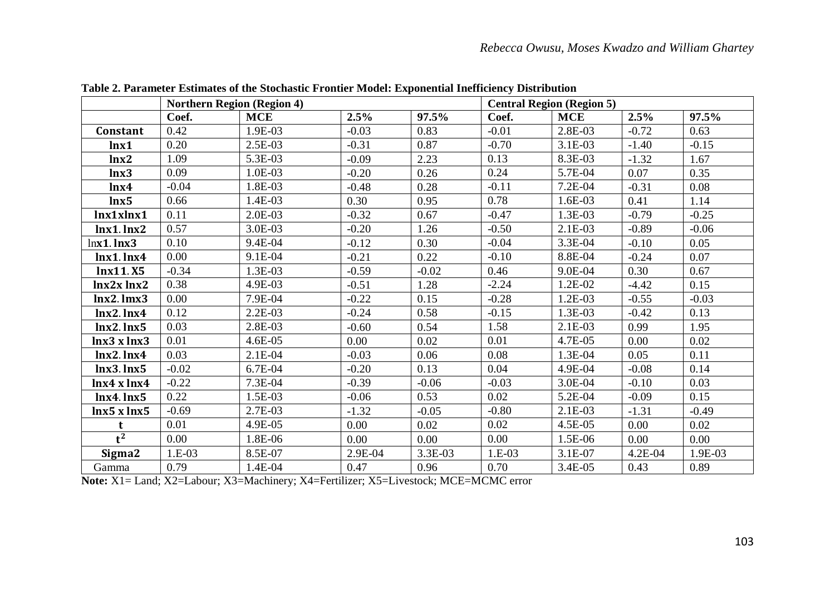|                  | <b>Northern Region (Region 4)</b> |            |         | <b>Central Region (Region 5)</b> |          |            |           |         |
|------------------|-----------------------------------|------------|---------|----------------------------------|----------|------------|-----------|---------|
|                  | Coef.                             | <b>MCE</b> | 2.5%    | 97.5%                            | Coef.    | <b>MCE</b> | 2.5%      | 97.5%   |
| Constant         | 0.42                              | 1.9E-03    | $-0.03$ | 0.83                             | $-0.01$  | 2.8E-03    | $-0.72$   | 0.63    |
| lnx1             | 0.20                              | 2.5E-03    | $-0.31$ | 0.87                             | $-0.70$  | 3.1E-03    | $-1.40$   | $-0.15$ |
| lnx2             | 1.09                              | 5.3E-03    | $-0.09$ | 2.23                             | 0.13     | 8.3E-03    | $-1.32$   | 1.67    |
| lnx3             | 0.09                              | 1.0E-03    | $-0.20$ | 0.26                             | 0.24     | 5.7E-04    | 0.07      | 0.35    |
| lnx <sub>4</sub> | $-0.04$                           | 1.8E-03    | $-0.48$ | 0.28                             | $-0.11$  | 7.2E-04    | $-0.31$   | 0.08    |
| lnx5             | 0.66                              | 1.4E-03    | 0.30    | 0.95                             | 0.78     | 1.6E-03    | 0.41      | 1.14    |
| lnx1xlnx1        | 0.11                              | 2.0E-03    | $-0.32$ | 0.67                             | $-0.47$  | 1.3E-03    | $-0.79$   | $-0.25$ |
| $lnx1.$ $lnx2$   | 0.57                              | 3.0E-03    | $-0.20$ | 1.26                             | $-0.50$  | 2.1E-03    | $-0.89$   | $-0.06$ |
| $lnx1$ . $lnx3$  | 0.10                              | 9.4E-04    | $-0.12$ | 0.30                             | $-0.04$  | 3.3E-04    | $-0.10$   | 0.05    |
| $lnx1.$ $lnx4$   | 0.00                              | 9.1E-04    | $-0.21$ | 0.22                             | $-0.10$  | 8.8E-04    | $-0.24$   | 0.07    |
| lnx11.X5         | $-0.34$                           | 1.3E-03    | $-0.59$ | $-0.02$                          | 0.46     | 9.0E-04    | 0.30      | 0.67    |
| lnx2x lnx2       | 0.38                              | 4.9E-03    | $-0.51$ | 1.28                             | $-2.24$  | 1.2E-02    | $-4.42$   | 0.15    |
| $lnx2.$ $lmx3$   | 0.00                              | 7.9E-04    | $-0.22$ | 0.15                             | $-0.28$  | 1.2E-03    | $-0.55$   | $-0.03$ |
| $lnx2.$ $lnx4$   | 0.12                              | 2.2E-03    | $-0.24$ | 0.58                             | $-0.15$  | 1.3E-03    | $-0.42$   | 0.13    |
| $lnx2.$ $lnx5$   | 0.03                              | 2.8E-03    | $-0.60$ | 0.54                             | 1.58     | 2.1E-03    | 0.99      | 1.95    |
| lnx3xlnx3        | 0.01                              | 4.6E-05    | 0.00    | 0.02                             | 0.01     | 4.7E-05    | 0.00      | 0.02    |
| $lnx2$ . $lnx4$  | 0.03                              | 2.1E-04    | $-0.03$ | 0.06                             | 0.08     | 1.3E-04    | 0.05      | 0.11    |
| $lnx3.$ $lnx5$   | $-0.02$                           | 6.7E-04    | $-0.20$ | 0.13                             | 0.04     | 4.9E-04    | $-0.08$   | 0.14    |
| lnx4xlnx4        | $-0.22$                           | 7.3E-04    | $-0.39$ | $-0.06$                          | $-0.03$  | 3.0E-04    | $-0.10$   | 0.03    |
| $lnx4.$ $lnx5$   | 0.22                              | 1.5E-03    | $-0.06$ | 0.53                             | 0.02     | 5.2E-04    | $-0.09$   | 0.15    |
| lnx5 x lnx5      | $-0.69$                           | 2.7E-03    | $-1.32$ | $-0.05$                          | $-0.80$  | 2.1E-03    | $-1.31$   | $-0.49$ |
| t                | 0.01                              | 4.9E-05    | 0.00    | 0.02                             | 0.02     | 4.5E-05    | 0.00      | 0.02    |
| $t^2$            | 0.00                              | 1.8E-06    | 0.00    | 0.00                             | 0.00     | 1.5E-06    | 0.00      | 0.00    |
| Sigma2           | 1.E-03                            | 8.5E-07    | 2.9E-04 | 3.3E-03                          | $1.E-03$ | 3.1E-07    | $4.2E-04$ | 1.9E-03 |
| Gamma            | 0.79                              | 1.4E-04    | 0.47    | 0.96                             | 0.70     | 3.4E-05    | 0.43      | 0.89    |

**Table 2. Parameter Estimates of the Stochastic Frontier Model: Exponential Inefficiency Distribution**

**Note:** X1= Land; X2=Labour; X3=Machinery; X4=Fertilizer; X5=Livestock; MCE=MCMC error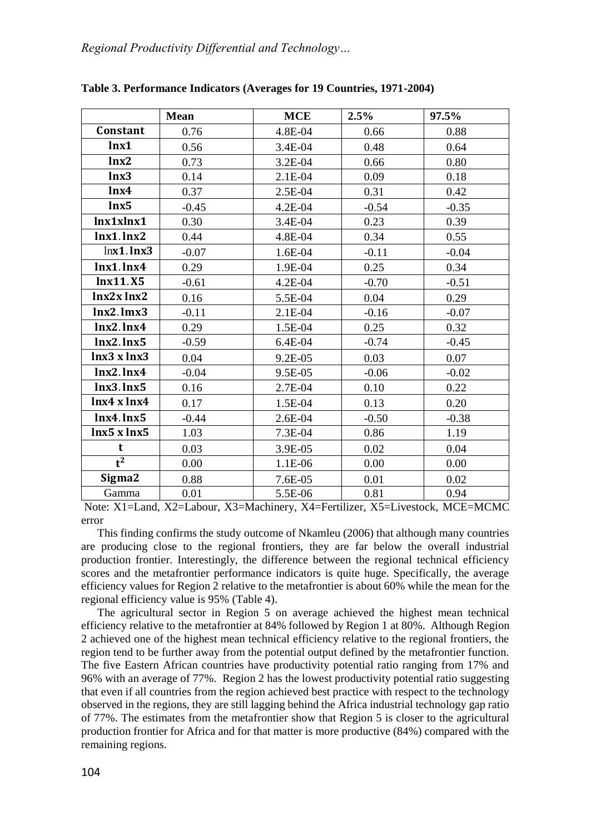|                 | <b>Mean</b> | <b>MCE</b> | 2.5%    | 97.5%   |
|-----------------|-------------|------------|---------|---------|
| Constant        | 0.76        | 4.8E-04    | 0.66    | 0.88    |
| lnx1            | 0.56        | 3.4E-04    | 0.48    | 0.64    |
| lnx2            | 0.73        | $3.2E-04$  | 0.66    | 0.80    |
| lnx3            | 0.14        | $2.1E-04$  | 0.09    | 0.18    |
| lnx4            | 0.37        | 2.5E-04    | 0.31    | 0.42    |
| lnx5            | $-0.45$     | $4.2E-04$  | $-0.54$ | $-0.35$ |
| lnx1xlnx1       | 0.30        | 3.4E-04    | 0.23    | 0.39    |
| $lnx1.$ $lnx2$  | 0.44        | 4.8E-04    | 0.34    | 0.55    |
| $lnx1$ . $lnx3$ | $-0.07$     | 1.6E-04    | $-0.11$ | $-0.04$ |
| $lnx1$ . $lnx4$ | 0.29        | 1.9E-04    | 0.25    | 0.34    |
| lnx11.X5        | $-0.61$     | $4.2E-04$  | $-0.70$ | $-0.51$ |
| $lnx2x$ $lnx2$  | 0.16        | 5.5E-04    | 0.04    | 0.29    |
| $lnx2.$ $lmx3$  | $-0.11$     | $2.1E-04$  | $-0.16$ | $-0.07$ |
| $lnx2.$ $lnx4$  | 0.29        | 1.5E-04    | 0.25    | 0.32    |
| $lnx2.$ $lnx5$  | $-0.59$     | $6.4E-04$  | $-0.74$ | $-0.45$ |
| lnx3xlnx3       | 0.04        | 9.2E-05    | 0.03    | 0.07    |
| $lnx2$ . $lnx4$ | $-0.04$     | 9.5E-05    | $-0.06$ | $-0.02$ |
| $lnx3.$ $lnx5$  | 0.16        | 2.7E-04    | 0.10    | 0.22    |
| lnx4xlnx4       | 0.17        | 1.5E-04    | 0.13    | 0.20    |
| lnx4. lnx5      | $-0.44$     | 2.6E-04    | $-0.50$ | $-0.38$ |
| lnx5 x lnx5     | 1.03        | $7.3E-04$  | 0.86    | 1.19    |
| t               | 0.03        | 3.9E-05    | 0.02    | 0.04    |
| $t^2$           | 0.00        | 1.1E-06    | 0.00    | 0.00    |
| Sigma2          | 0.88        | 7.6E-05    | 0.01    | 0.02    |
| Gamma           | 0.01        | 5.5E-06    | 0.81    | 0.94    |

**Table 3. Performance Indicators (Averages for 19 Countries, 1971-2004)**

Note: X1=Land, X2=Labour, X3=Machinery, X4=Fertilizer, X5=Livestock, MCE=MCMC error

This finding confirms the study outcome of Nkamleu (2006) that although many countries are producing close to the regional frontiers, they are far below the overall industrial production frontier. Interestingly, the difference between the regional technical efficiency scores and the metafrontier performance indicators is quite huge. Specifically, the average efficiency values for Region 2 relative to the metafrontier is about 60% while the mean for the regional efficiency value is 95% (Table 4).

The agricultural sector in Region 5 on average achieved the highest mean technical efficiency relative to the metafrontier at 84% followed by Region 1 at 80%. Although Region 2 achieved one of the highest mean technical efficiency relative to the regional frontiers, the region tend to be further away from the potential output defined by the metafrontier function. The five Eastern African countries have productivity potential ratio ranging from 17% and 96% with an average of 77%. Region 2 has the lowest productivity potential ratio suggesting that even if all countries from the region achieved best practice with respect to the technology observed in the regions, they are still lagging behind the Africa industrial technology gap ratio of 77%. The estimates from the metafrontier show that Region 5 is closer to the agricultural production frontier for Africa and for that matter is more productive (84%) compared with the remaining regions.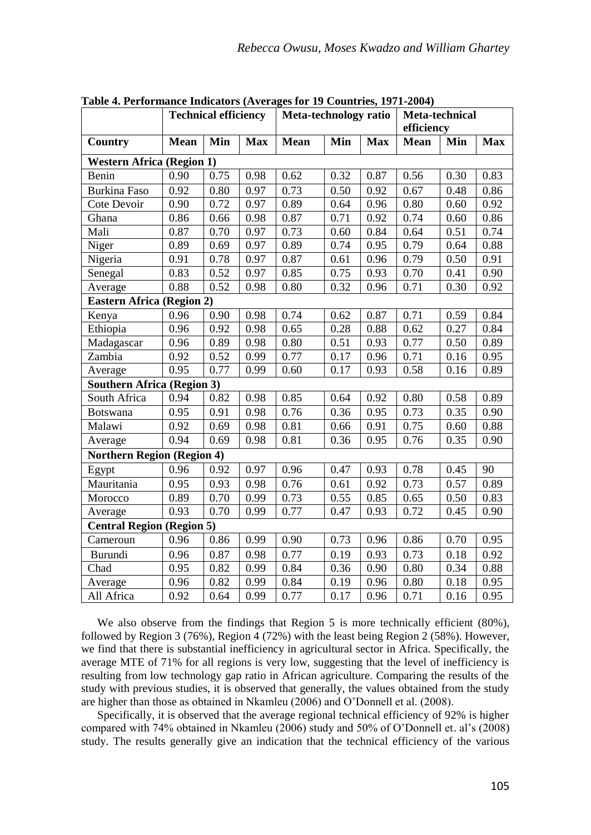|                                   |             | <b>Technical efficiency</b> |            | Meta-technology ratio |      |            | Meta-technical<br>efficiency |      |            |
|-----------------------------------|-------------|-----------------------------|------------|-----------------------|------|------------|------------------------------|------|------------|
| Country                           | <b>Mean</b> | Min                         | <b>Max</b> | Mean                  | Min  | <b>Max</b> | <b>Mean</b>                  | Min  | <b>Max</b> |
| <b>Western Africa (Region 1)</b>  |             |                             |            |                       |      |            |                              |      |            |
| Benin                             | 0.90        | 0.75                        | 0.98       | 0.62                  | 0.32 | 0.87       | 0.56                         | 0.30 | 0.83       |
| Burkina Faso                      | 0.92        | 0.80                        | 0.97       | 0.73                  | 0.50 | 0.92       | 0.67                         | 0.48 | 0.86       |
| Cote Devoir                       | 0.90        | 0.72                        | 0.97       | 0.89                  | 0.64 | 0.96       | 0.80                         | 0.60 | 0.92       |
| Ghana                             | 0.86        | 0.66                        | 0.98       | 0.87                  | 0.71 | 0.92       | 0.74                         | 0.60 | 0.86       |
| Mali                              | 0.87        | 0.70                        | 0.97       | 0.73                  | 0.60 | 0.84       | 0.64                         | 0.51 | 0.74       |
| Niger                             | 0.89        | 0.69                        | 0.97       | 0.89                  | 0.74 | 0.95       | 0.79                         | 0.64 | 0.88       |
| Nigeria                           | 0.91        | 0.78                        | 0.97       | 0.87                  | 0.61 | 0.96       | 0.79                         | 0.50 | 0.91       |
| Senegal                           | 0.83        | 0.52                        | 0.97       | 0.85                  | 0.75 | 0.93       | 0.70                         | 0.41 | 0.90       |
| Average                           | 0.88        | 0.52                        | 0.98       | 0.80                  | 0.32 | 0.96       | 0.71                         | 0.30 | 0.92       |
| <b>Eastern Africa (Region 2)</b>  |             |                             |            |                       |      |            |                              |      |            |
| Kenya                             | 0.96        | 0.90                        | 0.98       | 0.74                  | 0.62 | 0.87       | 0.71                         | 0.59 | 0.84       |
| Ethiopia                          | 0.96        | 0.92                        | 0.98       | 0.65                  | 0.28 | 0.88       | 0.62                         | 0.27 | 0.84       |
| Madagascar                        | 0.96        | 0.89                        | 0.98       | 0.80                  | 0.51 | 0.93       | 0.77                         | 0.50 | 0.89       |
| Zambia                            | 0.92        | 0.52                        | 0.99       | 0.77                  | 0.17 | 0.96       | 0.71                         | 0.16 | 0.95       |
| Average                           | 0.95        | 0.77                        | 0.99       | 0.60                  | 0.17 | 0.93       | 0.58                         | 0.16 | 0.89       |
| <b>Southern Africa (Region 3)</b> |             |                             |            |                       |      |            |                              |      |            |
| South Africa                      | 0.94        | 0.82                        | 0.98       | 0.85                  | 0.64 | 0.92       | 0.80                         | 0.58 | 0.89       |
| Botswana                          | 0.95        | 0.91                        | 0.98       | 0.76                  | 0.36 | 0.95       | 0.73                         | 0.35 | 0.90       |
| Malawi                            | 0.92        | 0.69                        | 0.98       | 0.81                  | 0.66 | 0.91       | 0.75                         | 0.60 | 0.88       |
| Average                           | 0.94        | 0.69                        | 0.98       | 0.81                  | 0.36 | 0.95       | 0.76                         | 0.35 | 0.90       |
| <b>Northern Region (Region 4)</b> |             |                             |            |                       |      |            |                              |      |            |
| Egypt                             | 0.96        | 0.92                        | 0.97       | 0.96                  | 0.47 | 0.93       | 0.78                         | 0.45 | 90         |
| Mauritania                        | 0.95        | 0.93                        | 0.98       | 0.76                  | 0.61 | 0.92       | 0.73                         | 0.57 | 0.89       |
| Morocco                           | 0.89        | 0.70                        | 0.99       | 0.73                  | 0.55 | 0.85       | 0.65                         | 0.50 | 0.83       |
| Average                           | 0.93        | 0.70                        | 0.99       | 0.77                  | 0.47 | 0.93       | 0.72                         | 0.45 | 0.90       |
| <b>Central Region (Region 5)</b>  |             |                             |            |                       |      |            |                              |      |            |
| Cameroun                          | 0.96        | 0.86                        | 0.99       | 0.90                  | 0.73 | 0.96       | 0.86                         | 0.70 | 0.95       |
| Burundi                           | 0.96        | 0.87                        | 0.98       | 0.77                  | 0.19 | 0.93       | 0.73                         | 0.18 | 0.92       |
| Chad                              | 0.95        | 0.82                        | 0.99       | 0.84                  | 0.36 | 0.90       | 0.80                         | 0.34 | 0.88       |
| Average                           | 0.96        | 0.82                        | 0.99       | 0.84                  | 0.19 | 0.96       | 0.80                         | 0.18 | 0.95       |
| All Africa                        | 0.92        | 0.64                        | 0.99       | 0.77                  | 0.17 | 0.96       | 0.71                         | 0.16 | 0.95       |

**Table 4. Performance Indicators (Averages for 19 Countries, 1971-2004)** 

We also observe from the findings that Region 5 is more technically efficient (80%), followed by Region 3 (76%), Region 4 (72%) with the least being Region 2 (58%). However, we find that there is substantial inefficiency in agricultural sector in Africa. Specifically, the average MTE of 71% for all regions is very low, suggesting that the level of inefficiency is resulting from low technology gap ratio in African agriculture. Comparing the results of the study with previous studies, it is observed that generally, the values obtained from the study are higher than those as obtained in Nkamleu (2006) and O'Donnell et al. (2008).

Specifically, it is observed that the average regional technical efficiency of 92% is higher compared with 74% obtained in Nkamleu (2006) study and 50% of O'Donnell et. al's (2008) study. The results generally give an indication that the technical efficiency of the various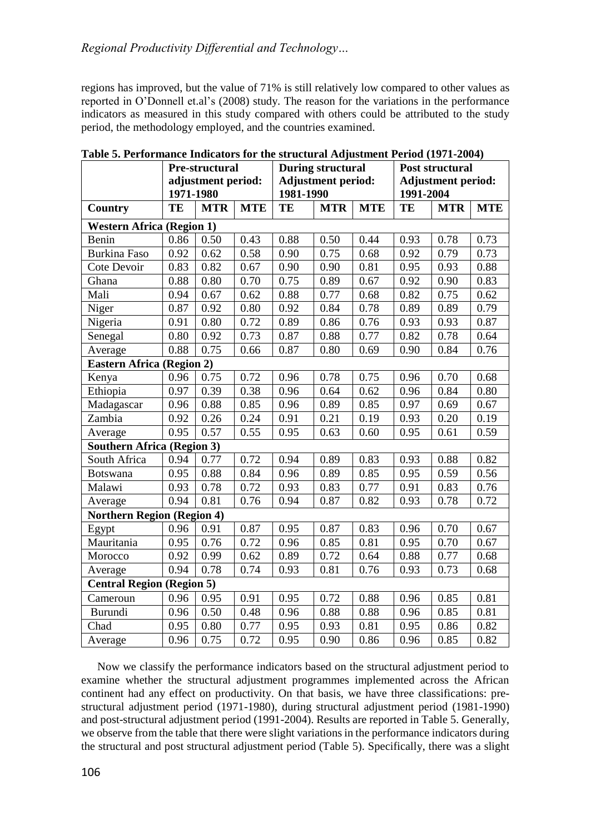regions has improved, but the value of 71% is still relatively low compared to other values as reported in O'Donnell et.al's (2008) study. The reason for the variations in the performance indicators as measured in this study compared with others could be attributed to the study period, the methodology employed, and the countries examined.

|                                   | Pre-structural                   |            |            | <b>During structural</b>  |            |            | Post structural           |            |            |
|-----------------------------------|----------------------------------|------------|------------|---------------------------|------------|------------|---------------------------|------------|------------|
|                                   | adjustment period:               |            |            | <b>Adjustment period:</b> |            |            | <b>Adjustment period:</b> |            |            |
|                                   | 1971-1980                        |            |            | 1981-1990                 |            |            | 1991-2004                 |            |            |
| <b>Country</b>                    | TE                               | <b>MTR</b> | <b>MTE</b> | TE                        | <b>MTR</b> | <b>MTE</b> | TE                        | <b>MTR</b> | <b>MTE</b> |
| <b>Western Africa (Region 1)</b>  |                                  |            |            |                           |            |            |                           |            |            |
| Benin                             | 0.86                             | 0.50       | 0.43       | 0.88                      | 0.50       | 0.44       | 0.93                      | 0.78       | 0.73       |
| <b>Burkina Faso</b>               | 0.92                             | 0.62       | 0.58       | 0.90                      | 0.75       | 0.68       | 0.92                      | 0.79       | 0.73       |
| Cote Devoir                       | 0.83                             | 0.82       | 0.67       | 0.90                      | 0.90       | 0.81       | 0.95                      | 0.93       | 0.88       |
| Ghana                             | 0.88                             | 0.80       | 0.70       | 0.75                      | 0.89       | 0.67       | 0.92                      | 0.90       | 0.83       |
| Mali                              | 0.94                             | 0.67       | 0.62       | 0.88                      | 0.77       | 0.68       | 0.82                      | 0.75       | 0.62       |
| Niger                             | 0.87                             | 0.92       | 0.80       | 0.92                      | 0.84       | 0.78       | 0.89                      | 0.89       | 0.79       |
| Nigeria                           | 0.91                             | 0.80       | 0.72       | 0.89                      | 0.86       | 0.76       | 0.93                      | 0.93       | 0.87       |
| Senegal                           | 0.80                             | 0.92       | 0.73       | 0.87                      | 0.88       | 0.77       | 0.82                      | 0.78       | 0.64       |
| Average                           | 0.88                             | 0.75       | 0.66       | 0.87                      | 0.80       | 0.69       | 0.90                      | 0.84       | 0.76       |
| <b>Eastern Africa (Region 2)</b>  |                                  |            |            |                           |            |            |                           |            |            |
| Kenya                             | 0.96                             | 0.75       | 0.72       | 0.96                      | 0.78       | 0.75       | 0.96                      | 0.70       | 0.68       |
| Ethiopia                          | 0.97                             | 0.39       | 0.38       | 0.96                      | 0.64       | 0.62       | 0.96                      | 0.84       | 0.80       |
| Madagascar                        | 0.96                             | 0.88       | 0.85       | 0.96                      | 0.89       | 0.85       | 0.97                      | 0.69       | 0.67       |
| Zambia                            | 0.92                             | 0.26       | 0.24       | 0.91                      | 0.21       | 0.19       | 0.93                      | 0.20       | 0.19       |
| Average                           | 0.95                             | 0.57       | 0.55       | 0.95                      | 0.63       | 0.60       | 0.95                      | 0.61       | 0.59       |
| <b>Southern Africa (Region 3)</b> |                                  |            |            |                           |            |            |                           |            |            |
| South Africa                      | 0.94                             | 0.77       | 0.72       | 0.94                      | 0.89       | 0.83       | 0.93                      | 0.88       | 0.82       |
| <b>Botswana</b>                   | 0.95                             | 0.88       | 0.84       | 0.96                      | 0.89       | 0.85       | 0.95                      | 0.59       | 0.56       |
| Malawi                            | 0.93                             | 0.78       | 0.72       | 0.93                      | 0.83       | 0.77       | 0.91                      | 0.83       | 0.76       |
| Average                           | 0.94                             | 0.81       | 0.76       | 0.94                      | 0.87       | 0.82       | 0.93                      | 0.78       | 0.72       |
| <b>Northern Region (Region 4)</b> |                                  |            |            |                           |            |            |                           |            |            |
| Egypt                             | 0.96                             | 0.91       | 0.87       | 0.95                      | 0.87       | 0.83       | 0.96                      | 0.70       | 0.67       |
| Mauritania                        | 0.95                             | 0.76       | 0.72       | 0.96                      | 0.85       | 0.81       | 0.95                      | 0.70       | 0.67       |
| Morocco                           | 0.92                             | 0.99       | 0.62       | 0.89                      | 0.72       | 0.64       | 0.88                      | 0.77       | 0.68       |
| Average                           | 0.94                             | 0.78       | 0.74       | 0.93                      | 0.81       | 0.76       | 0.93                      | 0.73       | 0.68       |
|                                   | <b>Central Region (Region 5)</b> |            |            |                           |            |            |                           |            |            |
| Cameroun                          | 0.96                             | 0.95       | 0.91       | 0.95                      | 0.72       | 0.88       | 0.96                      | 0.85       | 0.81       |
| Burundi                           | 0.96                             | 0.50       | 0.48       | 0.96                      | 0.88       | 0.88       | 0.96                      | 0.85       | 0.81       |
| Chad                              | 0.95                             | 0.80       | 0.77       | 0.95                      | 0.93       | 0.81       | 0.95                      | 0.86       | 0.82       |
| Average                           | 0.96                             | 0.75       | 0.72       | 0.95                      | 0.90       | 0.86       | 0.96                      | 0.85       | 0.82       |

**Table 5. Performance Indicators for the structural Adjustment Period (1971-2004)**

Now we classify the performance indicators based on the structural adjustment period to examine whether the structural adjustment programmes implemented across the African continent had any effect on productivity. On that basis, we have three classifications: prestructural adjustment period (1971-1980), during structural adjustment period (1981-1990) and post-structural adjustment period (1991-2004). Results are reported in Table 5. Generally, we observe from the table that there were slight variations in the performance indicators during the structural and post structural adjustment period (Table 5). Specifically, there was a slight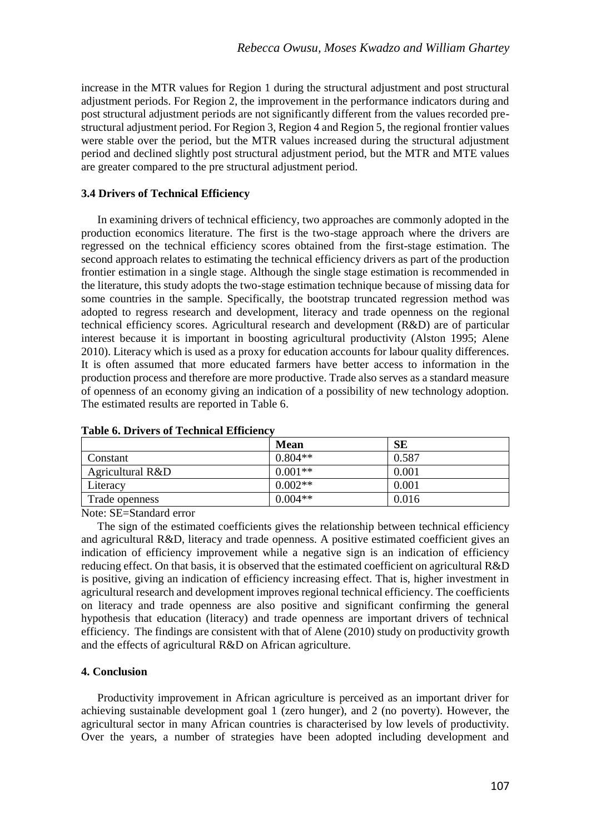increase in the MTR values for Region 1 during the structural adjustment and post structural adjustment periods. For Region 2, the improvement in the performance indicators during and post structural adjustment periods are not significantly different from the values recorded prestructural adjustment period. For Region 3, Region 4 and Region 5, the regional frontier values were stable over the period, but the MTR values increased during the structural adjustment period and declined slightly post structural adjustment period, but the MTR and MTE values are greater compared to the pre structural adjustment period.

# **3.4 Drivers of Technical Efficiency**

In examining drivers of technical efficiency, two approaches are commonly adopted in the production economics literature. The first is the two-stage approach where the drivers are regressed on the technical efficiency scores obtained from the first-stage estimation. The second approach relates to estimating the technical efficiency drivers as part of the production frontier estimation in a single stage. Although the single stage estimation is recommended in the literature, this study adopts the two-stage estimation technique because of missing data for some countries in the sample. Specifically, the bootstrap truncated regression method was adopted to regress research and development, literacy and trade openness on the regional technical efficiency scores. Agricultural research and development (R&D) are of particular interest because it is important in boosting agricultural productivity (Alston 1995; Alene 2010). Literacy which is used as a proxy for education accounts for labour quality differences. It is often assumed that more educated farmers have better access to information in the production process and therefore are more productive. Trade also serves as a standard measure of openness of an economy giving an indication of a possibility of new technology adoption. The estimated results are reported in Table 6.

|                  | Mean      | SЕ    |
|------------------|-----------|-------|
| Constant         | $0.804**$ | 0.587 |
| Agricultural R&D | $0.001**$ | 0.001 |
| Literacy         | $0.002**$ | 0.001 |
| Trade openness   | $0.004**$ | 0.016 |

# **Table 6. Drivers of Technical Efficiency**

Note: SE=Standard error

The sign of the estimated coefficients gives the relationship between technical efficiency and agricultural R&D, literacy and trade openness. A positive estimated coefficient gives an indication of efficiency improvement while a negative sign is an indication of efficiency reducing effect. On that basis, it is observed that the estimated coefficient on agricultural R&D is positive, giving an indication of efficiency increasing effect. That is, higher investment in agricultural research and development improves regional technical efficiency. The coefficients on literacy and trade openness are also positive and significant confirming the general hypothesis that education (literacy) and trade openness are important drivers of technical efficiency. The findings are consistent with that of Alene (2010) study on productivity growth and the effects of agricultural R&D on African agriculture.

# **4. Conclusion**

Productivity improvement in African agriculture is perceived as an important driver for achieving sustainable development goal 1 (zero hunger), and 2 (no poverty). However, the agricultural sector in many African countries is characterised by low levels of productivity. Over the years, a number of strategies have been adopted including development and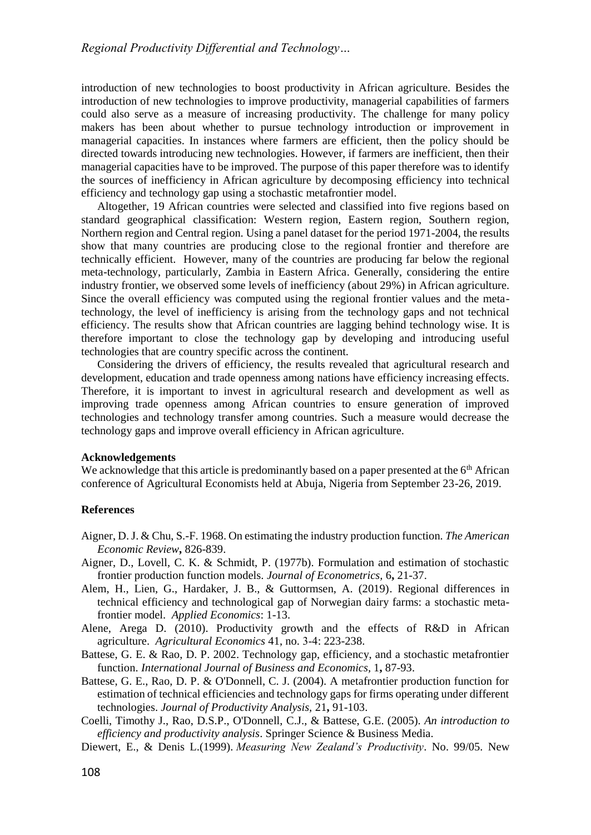introduction of new technologies to boost productivity in African agriculture. Besides the introduction of new technologies to improve productivity, managerial capabilities of farmers could also serve as a measure of increasing productivity. The challenge for many policy makers has been about whether to pursue technology introduction or improvement in managerial capacities. In instances where farmers are efficient, then the policy should be directed towards introducing new technologies. However, if farmers are inefficient, then their managerial capacities have to be improved. The purpose of this paper therefore was to identify the sources of inefficiency in African agriculture by decomposing efficiency into technical efficiency and technology gap using a stochastic metafrontier model.

Altogether, 19 African countries were selected and classified into five regions based on standard geographical classification: Western region, Eastern region, Southern region, Northern region and Central region. Using a panel dataset for the period 1971-2004, the results show that many countries are producing close to the regional frontier and therefore are technically efficient. However, many of the countries are producing far below the regional meta-technology, particularly, Zambia in Eastern Africa. Generally, considering the entire industry frontier, we observed some levels of inefficiency (about 29%) in African agriculture. Since the overall efficiency was computed using the regional frontier values and the metatechnology, the level of inefficiency is arising from the technology gaps and not technical efficiency. The results show that African countries are lagging behind technology wise. It is therefore important to close the technology gap by developing and introducing useful technologies that are country specific across the continent.

Considering the drivers of efficiency, the results revealed that agricultural research and development, education and trade openness among nations have efficiency increasing effects. Therefore, it is important to invest in agricultural research and development as well as improving trade openness among African countries to ensure generation of improved technologies and technology transfer among countries. Such a measure would decrease the technology gaps and improve overall efficiency in African agriculture.

# **Acknowledgements**

We acknowledge that this article is predominantly based on a paper presented at the  $6<sup>th</sup>$  African conference of Agricultural Economists held at Abuja, Nigeria from September 23-26, 2019.

# **References**

- Aigner, D. J. & Chu, S.-F. 1968. On estimating the industry production function. *The American Economic Review***,** 826-839.
- Aigner, D., Lovell, C. K. & Schmidt, P. (1977b). Formulation and estimation of stochastic frontier production function models. *Journal of Econometrics,* 6**,** 21-37.
- Alem, H., Lien, G., Hardaker, J. B., & Guttormsen, A. (2019). Regional differences in technical efficiency and technological gap of Norwegian dairy farms: a stochastic metafrontier model. *Applied Economics*: 1-13.
- Alene, Arega D. (2010). Productivity growth and the effects of R&D in African agriculture. *Agricultural Economics* 41, no. 3‐4: 223-238.
- Battese, G. E. & Rao, D. P. 2002. Technology gap, efficiency, and a stochastic metafrontier function. *International Journal of Business and Economics,* 1**,** 87-93.
- Battese, G. E., Rao, D. P. & O'Donnell, C. J. (2004). A metafrontier production function for estimation of technical efficiencies and technology gaps for firms operating under different technologies. *Journal of Productivity Analysis,* 21**,** 91-103.
- Coelli, Timothy J., Rao, D.S.P., O'Donnell, C.J., & Battese, G.E. (2005). *An introduction to efficiency and productivity analysis*. Springer Science & Business Media.
- Diewert, E., & Denis L.(1999). *Measuring New Zealand's Productivity*. No. 99/05. New